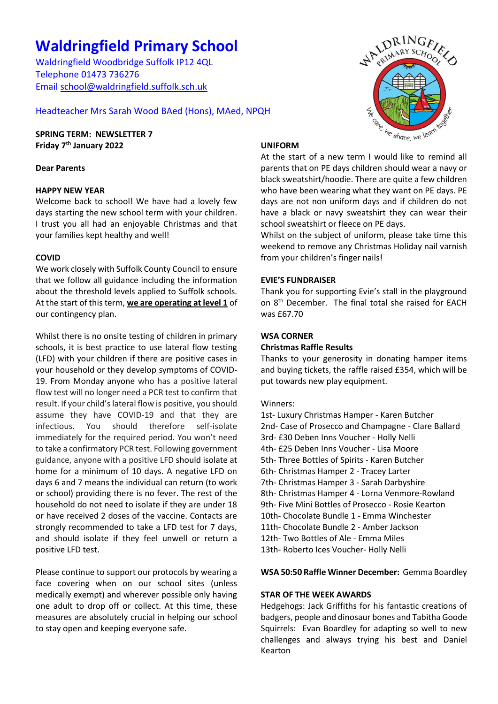# **Waldringfield Primary School**

Waldringfield Woodbridge Suffolk IP12 4QL Telephone 01473 736276 Email [school@waldringfield.suffolk.sch.uk](mailto:school@waldringfield.suffolk.sch.uk)

Headteacher Mrs Sarah Wood BAed (Hons), MAed, NPQH

**SPRING TERM: NEWSLETTER 7 Friday 7 th January 2022**

## **Dear Parents**

## **HAPPY NEW YEAR**

Welcome back to school! We have had a lovely few days starting the new school term with your children. I trust you all had an enjoyable Christmas and that your families kept healthy and well!

#### **COVID**

We work closely with Suffolk County Council to ensure that we follow all guidance including the information about the threshold levels applied to Suffolk schools. At the start of this term, **we are operating at level 1** of our contingency plan.

Whilst there is no onsite testing of children in primary schools, it is best practice to use lateral flow testing (LFD) with your children if there are positive cases in your household or they develop symptoms of COVID-19. From Monday anyone who has a positive lateral flow test will no longer need a PCR test to confirm that result. If your child's lateral flow is positive, you should assume they have COVID-19 and that they are infectious. You should therefore self-isolate immediately for the required period. You won't need to take a confirmatory PCR test. Following government guidance, anyone with a positive LFD should isolate at home for a minimum of 10 days. A negative LFD on days 6 and 7 means the individual can return (to work or school) providing there is no fever. The rest of the household do not need to isolate if they are under 18 or have received 2 doses of the vaccine. Contacts are strongly recommended to take a LFD test for 7 days, and should isolate if they feel unwell or return a positive LFD test.

Please continue to support our protocols by wearing a face covering when on our school sites (unless medically exempt) and wherever possible only having one adult to drop off or collect. At this time, these measures are absolutely crucial in helping our school to stay open and keeping everyone safe.

# **UNIFORM**

At the start of a new term I would like to remind all parents that on PE days children should wear a navy or black sweatshirt/hoodie. There are quite a few children who have been wearing what they want on PE days. PE days are not non uniform days and if children do not have a black or navy sweatshirt they can wear their school sweatshirt or fleece on PE days.

Whilst on the subject of uniform, please take time this weekend to remove any Christmas Holiday nail varnish from your children's finger nails!

#### **EVIE'S FUNDRAISER**

Thank you for supporting Evie's stall in the playground on 8th December. The final total she raised for EACH was £67.70

#### **WSA CORNER**

#### **Christmas Raffle Results**

Thanks to your generosity in donating hamper items and buying tickets, the raffle raised £354, which will be put towards new play equipment.

#### Winners:

1st- Luxury Christmas Hamper - Karen Butcher 2nd- Case of Prosecco and Champagne - Clare Ballard 3rd- £30 Deben Inns Voucher - Holly Nelli 4th- £25 Deben Inns Voucher - Lisa Moore 5th- Three Bottles of Spirits - Karen Butcher 6th- Christmas Hamper 2 - Tracey Larter 7th- Christmas Hamper 3 - Sarah Darbyshire 8th- Christmas Hamper 4 - Lorna Venmore-Rowland 9th- Five Mini Bottles of Prosecco - Rosie Kearton 10th- Chocolate Bundle 1 - Emma Winchester 11th- Chocolate Bundle 2 - Amber Jackson 12th- Two Bottles of Ale - Emma Miles 13th- Roberto Ices Voucher- Holly Nelli

#### **WSA 50:50 Raffle Winner December:** Gemma Boardley

#### **STAR OF THE WEEK AWARDS**

Hedgehogs: Jack Griffiths for his fantastic creations of badgers, people and dinosaur bones and Tabitha Goode Squirrels: Evan Boardley for adapting so well to new challenges and always trying his best and Daniel Kearton